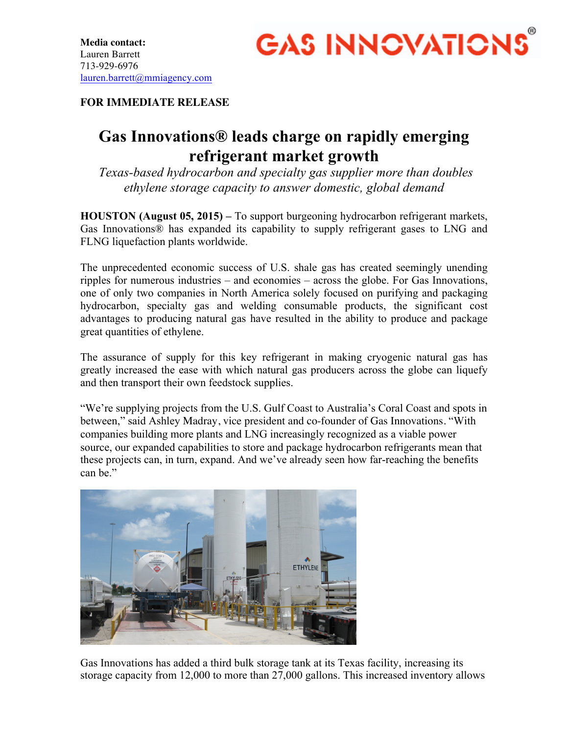

## **FOR IMMEDIATE RELEASE**

## **Gas Innovations® leads charge on rapidly emerging refrigerant market growth**

*Texas-based hydrocarbon and specialty gas supplier more than doubles ethylene storage capacity to answer domestic, global demand*

**HOUSTON (August 05, 2015) –** To support burgeoning hydrocarbon refrigerant markets, Gas Innovations® has expanded its capability to supply refrigerant gases to LNG and FLNG liquefaction plants worldwide.

The unprecedented economic success of U.S. shale gas has created seemingly unending ripples for numerous industries – and economies – across the globe. For Gas Innovations, one of only two companies in North America solely focused on purifying and packaging hydrocarbon, specialty gas and welding consumable products, the significant cost advantages to producing natural gas have resulted in the ability to produce and package great quantities of ethylene.

The assurance of supply for this key refrigerant in making cryogenic natural gas has greatly increased the ease with which natural gas producers across the globe can liquefy and then transport their own feedstock supplies.

"We're supplying projects from the U.S. Gulf Coast to Australia's Coral Coast and spots in between," said Ashley Madray, vice president and co-founder of Gas Innovations. "With companies building more plants and LNG increasingly recognized as a viable power source, our expanded capabilities to store and package hydrocarbon refrigerants mean that these projects can, in turn, expand. And we've already seen how far-reaching the benefits can be."



Gas Innovations has added a third bulk storage tank at its Texas facility, increasing its storage capacity from 12,000 to more than 27,000 gallons. This increased inventory allows